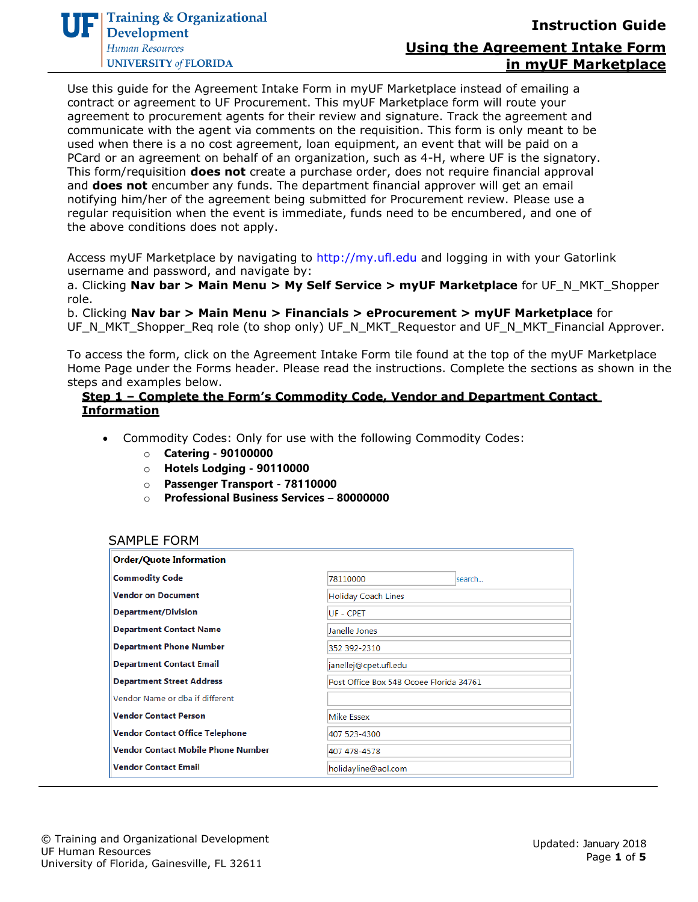

Use this guide for the Agreement Intake Form in myUF Marketplace instead of emailing a contract or agreement to UF Procurement. This myUF Marketplace form will route your agreement to procurement agents for their review and signature. Track the agreement and communicate with the agent via comments on the requisition. This form is only meant to be used when there is a no cost agreement, loan equipment, an event that will be paid on a PCard or an agreement on behalf of an organization, such as 4-H, where UF is the signatory. This form/requisition **does not** create a purchase order, does not require financial approval and **does not** encumber any funds. The department financial approver will get an email notifying him/her of the agreement being submitted for Procurement review. Please use a regular requisition when the event is immediate, funds need to be encumbered, and one of the above conditions does not apply.

Access myUF Marketplace by navigating to http://my.ufl.edu and logging in with your Gatorlink username and password, and navigate by:

a. Clicking **Nav bar > Main Menu > My Self Service > myUF Marketplace** for UF\_N\_MKT\_Shopper role.

b. Clicking **Nav bar > Main Menu > Financials > eProcurement > myUF Marketplace** for UF\_N\_MKT\_Shopper\_Req role (to shop only) UF\_N\_MKT\_Requestor and UF\_N\_MKT\_Financial Approver.

To access the form, click on the Agreement Intake Form tile found at the top of the myUF Marketplace Home Page under the Forms header. Please read the instructions. Complete the sections as shown in the steps and examples below.

#### **Step 1 – Complete the Form's Commodity Code, Vendor and Department Contact Information**

- Commodity Codes: Only for use with the following Commodity Codes:
	- o **Catering - 90100000**
	- o **Hotels Lodging - 90110000**
	- o **Passenger Transport - 78110000**
	- o **Professional Business Services – 80000000**

#### SAMPLE FORM

| <b>Order/Quote Information</b>            |                                         |
|-------------------------------------------|-----------------------------------------|
| <b>Commodity Code</b>                     | 78110000<br>lsearch                     |
| <b>Vendor on Document</b>                 | <b>Holiday Coach Lines</b>              |
| <b>Department/Division</b>                | UF - CPET                               |
| <b>Department Contact Name</b>            | Janelle Jones                           |
| <b>Department Phone Number</b>            | 352 392-2310                            |
| <b>Department Contact Email</b>           | janellej@cpet.ufl.edu                   |
| <b>Department Street Address</b>          | Post Office Box 548 Ocoee Florida 34761 |
| Vendor Name or dba if different           |                                         |
| <b>Vendor Contact Person</b>              | <b>Mike Essex</b>                       |
| <b>Vendor Contact Office Telephone</b>    | 407 523-4300                            |
| <b>Vendor Contact Mobile Phone Number</b> | 407 478-4578                            |
| <b>Vendor Contact Email</b>               | holidayline@aol.com                     |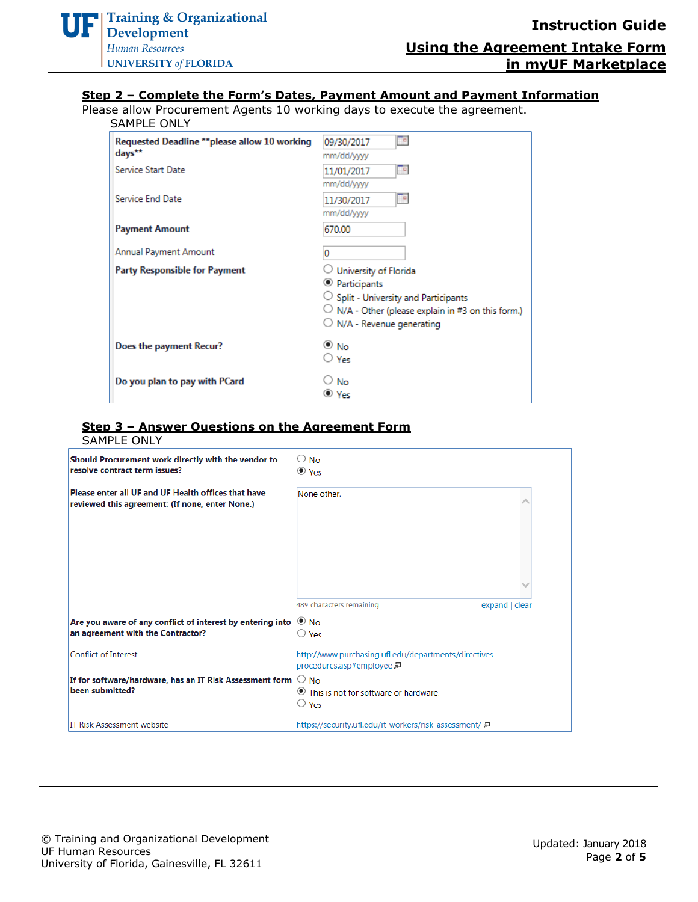#### **Step 2 – Complete the Form's Dates, Payment Amount and Payment Information**

Please allow Procurement Agents 10 working days to execute the agreement.

#### SAMPLE ONLY

| Requested Deadline **please allow 10 working<br>days** | $\blacksquare$<br>09/30/2017<br>mm/dd/yyyy                                                                                                                                                             |
|--------------------------------------------------------|--------------------------------------------------------------------------------------------------------------------------------------------------------------------------------------------------------|
| Service Start Date                                     | <b>P</b><br>11/01/2017<br>mm/dd/yyyy                                                                                                                                                                   |
| Service End Date                                       | $\blacksquare$<br>11/30/2017<br>mm/dd/yyyy                                                                                                                                                             |
| <b>Payment Amount</b>                                  | 670.00                                                                                                                                                                                                 |
| Annual Payment Amount                                  | 0                                                                                                                                                                                                      |
| <b>Party Responsible for Payment</b>                   | University of Florida<br><sup>O</sup> Participants<br>$\bigcirc$ Split - University and Participants<br>$\cup$ N/A - Other (please explain in #3 on this form.)<br>$\bigcirc$ N/A - Revenue generating |
| Does the payment Recur?                                | $\bullet$ No<br>∪ Yes                                                                                                                                                                                  |
| Do you plan to pay with PCard                          | No<br>© Yes                                                                                                                                                                                            |

#### **Step 3 – Answer Questions on the Agreement Form**

| <b>SAMPLE ONLY</b>                                                                                           |                                                                                  |
|--------------------------------------------------------------------------------------------------------------|----------------------------------------------------------------------------------|
| Should Procurement work directly with the vendor to<br>resolve contract term issues?                         | $\bigcirc$ No<br>$\bullet$ Yes                                                   |
| Please enter all UF and UF Health offices that have<br>reviewed this agreement: (If none, enter None.)       | None other.                                                                      |
|                                                                                                              | 489 characters remaining<br>expand   clear                                       |
| Are you aware of any conflict of interest by entering into $\bullet$ No<br>an agreement with the Contractor? | $\bigcirc$ Yes                                                                   |
| Conflict of Interest                                                                                         | http://www.purchasing.ufl.edu/departments/directives-<br>procedures.asp#employee |
| If for software/hardware, has an IT Risk Assessment form $~\bigcirc$ No<br>been submitted?                   | ● This is not for software or hardware.<br>$\cup$ Yes                            |
| <b>IT Risk Assessment website</b>                                                                            | https://security.ufl.edu/it-workers/risk-assessment/                             |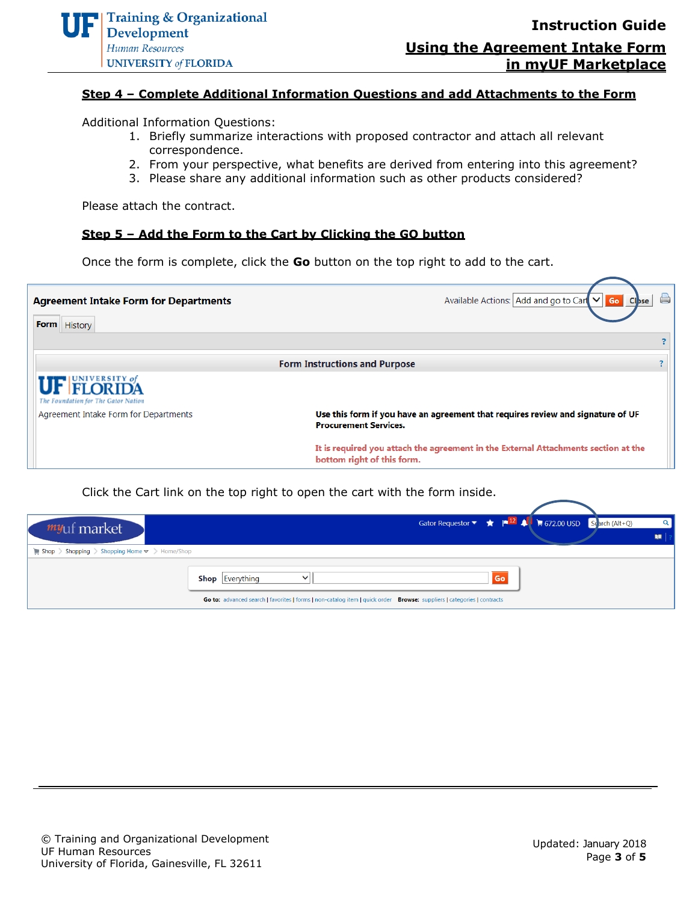# **Using the Agreement Intake Form in myUF Marketplace**

## **Step 4 – Complete Additional Information Questions and add Attachments to the Form**

Additional Information Questions:

- 1. Briefly summarize interactions with proposed contractor and attach all relevant correspondence.
- 2. From your perspective, what benefits are derived from entering into this agreement?
- 3. Please share any additional information such as other products considered?

Please attach the contract.

#### **Step 5 – Add the Form to the Cart by Clicking the GO button**

Once the form is complete, click the **Go** button on the top right to add to the cart.



Click the Cart link on the top right to open the cart with the form inside.

| myuf market                                                                                        |                                                                                                                        | Gator Requestor $\bullet$ $\bullet$ $\bullet$ $\bullet$ $\bullet$ $\bullet$ $\bullet$ 572.00 USD Search (Alt+Q) |  |
|----------------------------------------------------------------------------------------------------|------------------------------------------------------------------------------------------------------------------------|-----------------------------------------------------------------------------------------------------------------|--|
| $\blacktriangleright$ Shopping $\blacktriangleright$ Shopping Home $\blacktriangleright$ Home/Shop |                                                                                                                        |                                                                                                                 |  |
|                                                                                                    | <b>Shop</b> Everything<br>$\checkmark$                                                                                 | Go                                                                                                              |  |
|                                                                                                    | Go to: advanced search   favorites   forms   non-catalog item   quick order Browse: suppliers   categories   contracts |                                                                                                                 |  |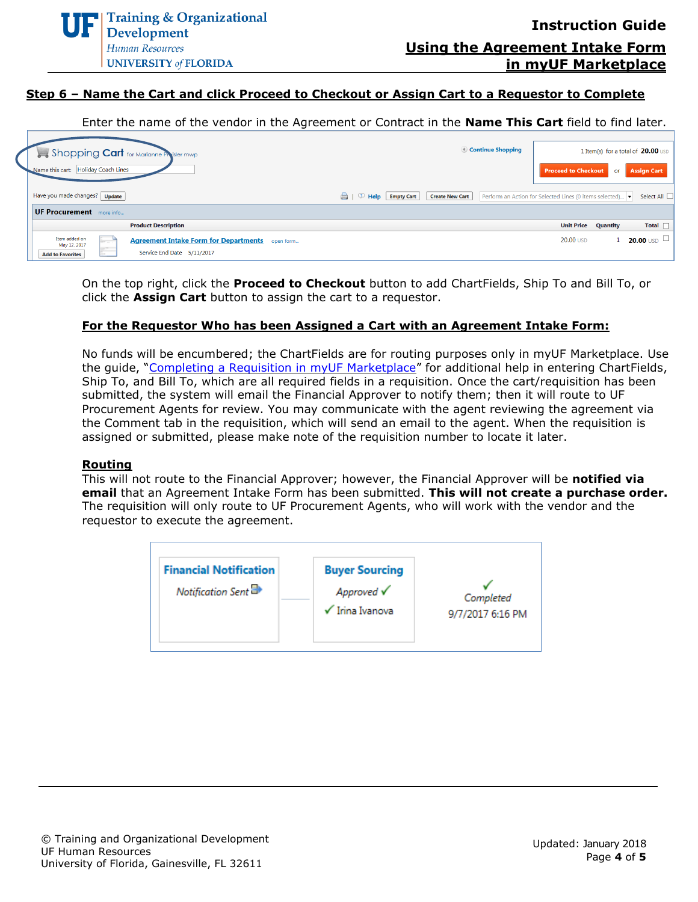# **Step 6 – Name the Cart and click Proceed to Checkout or Assign Cart to a Requestor to Complete**

Enter the name of the vendor in the Agreement or Contract in the **Name This Cart** field to find later.

| Shopping Cart for Marianne Presider mwp<br>Name this cart: Holiday Coach Lines                                                                                    | Continue Shopping                    | <b>Proceed to Checkout</b>                              |          | 1 Item(s) for a total of 20.00 USD<br>or Assign Cart |
|-------------------------------------------------------------------------------------------------------------------------------------------------------------------|--------------------------------------|---------------------------------------------------------|----------|------------------------------------------------------|
| Have you made changes?   Update                                                                                                                                   | Empty Cart<br><b>Create New Cart</b> | Perform an Action for Selected Lines (0 items selected) |          | Select All                                           |
| UF Procurement more info                                                                                                                                          |                                      |                                                         |          |                                                      |
| <b>Product Description</b>                                                                                                                                        |                                      | <b>Unit Price</b>                                       | Quantity | Total $\Box$                                         |
| Item added on<br><b>Agreement Intake Form for Departments</b> open form<br>ir.<br>May 12, 2017<br>$-100$<br>Service End Date 5/11/2017<br><b>Add to Favorites</b> |                                      | 20.00 USD                                               |          | 20.00 USD $\Box$ .                                   |

On the top right, click the **Proceed to Checkout** button to add ChartFields, Ship To and Bill To, or click the **Assign Cart** button to assign the cart to a requestor.

#### **For the Requestor Who has been Assigned a Cart with an Agreement Intake Form:**

No funds will be encumbered; the ChartFields are for routing purposes only in myUF Marketplace. Use the guide, "[Completing a Requisition](http://training.hr.ufl.edu/instructionguides/myufmarket/CompletingRequisition_myUFMarket.pdf) in myUF Marketplace" for additional help in entering ChartFields, Ship To, and Bill To, which are all required fields in a requisition. Once the cart/requisition has been submitted, the system will email the Financial Approver to notify them; then it will route to UF Procurement Agents for review. You may communicate with the agent reviewing the agreement via the Comment tab in the requisition, which will send an email to the agent. When the requisition is assigned or submitted, please make note of the requisition number to locate it later.

#### **Routing**

This will not route to the Financial Approver; however, the Financial Approver will be **notified via email** that an Agreement Intake Form has been submitted. **This will not create a purchase order.** The requisition will only route to UF Procurement Agents, who will work with the vendor and the requestor to execute the agreement.